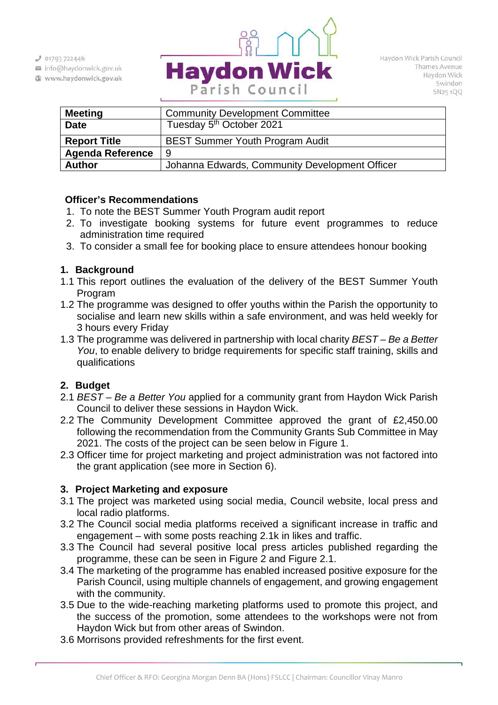$J$  01793 722446

- info@haydonwick.gov.uk
- Www.haydonwick.gov.uk



| <b>Meeting</b>          | <b>Community Development Committee</b>         |
|-------------------------|------------------------------------------------|
| <b>Date</b>             | Tuesday 5 <sup>th</sup> October 2021           |
| <b>Report Title</b>     | <b>BEST Summer Youth Program Audit</b>         |
| <b>Agenda Reference</b> | -9                                             |
| <b>Author</b>           | Johanna Edwards, Community Development Officer |
|                         |                                                |

## **Officer's Recommendations**

- 1. To note the BEST Summer Youth Program audit report
- 2. To investigate booking systems for future event programmes to reduce administration time required
- 3. To consider a small fee for booking place to ensure attendees honour booking

## **1. Background**

- 1.1 This report outlines the evaluation of the delivery of the BEST Summer Youth Program
- 1.2 The programme was designed to offer youths within the Parish the opportunity to socialise and learn new skills within a safe environment, and was held weekly for 3 hours every Friday
- 1.3 The programme was delivered in partnership with local charity *BEST – Be a Better You*, to enable delivery to bridge requirements for specific staff training, skills and qualifications

# **2. Budget**

- 2.1 *BEST – Be a Better You* applied for a community grant from Haydon Wick Parish Council to deliver these sessions in Haydon Wick.
- 2.2 The Community Development Committee approved the grant of £2,450.00 following the recommendation from the Community Grants Sub Committee in May 2021. The costs of the project can be seen below in Figure 1.
- 2.3 Officer time for project marketing and project administration was not factored into the grant application (see more in Section 6).

# **3. Project Marketing and exposure**

- 3.1 The project was marketed using social media, Council website, local press and local radio platforms.
- 3.2 The Council social media platforms received a significant increase in traffic and engagement – with some posts reaching 2.1k in likes and traffic.
- 3.3 The Council had several positive local press articles published regarding the programme, these can be seen in Figure 2 and Figure 2.1.
- 3.4 The marketing of the programme has enabled increased positive exposure for the Parish Council, using multiple channels of engagement, and growing engagement with the community.
- 3.5 Due to the wide-reaching marketing platforms used to promote this project, and the success of the promotion, some attendees to the workshops were not from Haydon Wick but from other areas of Swindon.
- 3.6 Morrisons provided refreshments for the first event.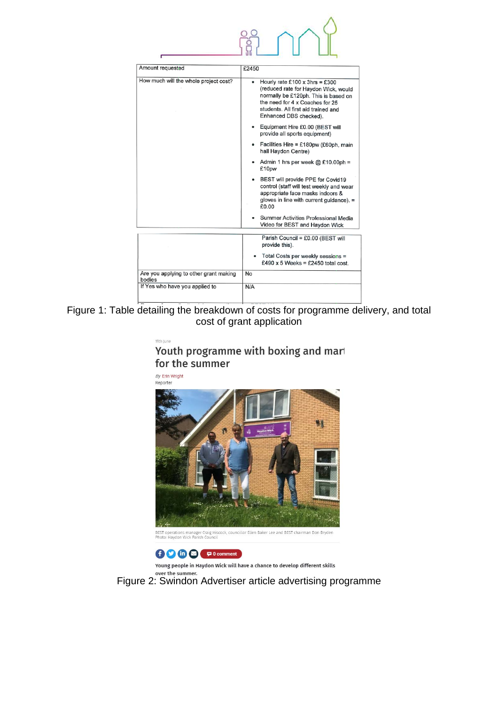| Amount requested                                 | £2450                                                                                                                                                                                                                   |
|--------------------------------------------------|-------------------------------------------------------------------------------------------------------------------------------------------------------------------------------------------------------------------------|
| How much will the whole project cost?            | Hourly rate £100 x 3hrs = £300<br>٠<br>(reduced rate for Haydon Wick, would<br>normally be £120ph. This is based on<br>the need for 4 x Coaches for 25<br>students. All first aid trained and<br>Enhanced DBS checked). |
|                                                  | Equipment Hire £0.00 (BEST will<br>provide all sports equipment)                                                                                                                                                        |
|                                                  | Facilities Hire = £180pw (£60ph, main<br>hall Haydon Centre)                                                                                                                                                            |
|                                                  | Admin 1 hrs per week $@E10.00ph =$<br>£10pw                                                                                                                                                                             |
|                                                  | BEST will provide PPE for Covid19<br>control (staff will test weekly and wear<br>appropriate face masks indoors &<br>gloves in line with current quidance). $=$<br>£0.00                                                |
|                                                  | Summer Activities Professional Media<br>Video for BEST and Haydon Wick                                                                                                                                                  |
|                                                  | Parish Council = £0.00 (BEST will<br>provide this).                                                                                                                                                                     |
|                                                  | Total Costs per weekly sessions =<br>£490 x 5 Weeks = £2450 total cost.                                                                                                                                                 |
| Are you applying to other grant making<br>bodies | <b>No</b>                                                                                                                                                                                                               |
| If Yes who have you applied to                   | N/A                                                                                                                                                                                                                     |
|                                                  |                                                                                                                                                                                                                         |

 $39.00$ 

Figure 1: Table detailing the breakdown of costs for programme delivery, and total cost of grant application

| 9th June |  |  |  |
|----------|--|--|--|
|          |  |  |  |

# Youth programme with boxing and marl for the summer

By Erin Wright Reporter



BEST operations manager Craig Hiscock, councillor Ellen Baker Lee and BEST chairman Don Bryden<br>Photo: Haydon Wick Parish Council



Young people in Haydon Wick will have a chance to develop different skills

over the summer. Figure 2: Swindon Advertiser article advertising programme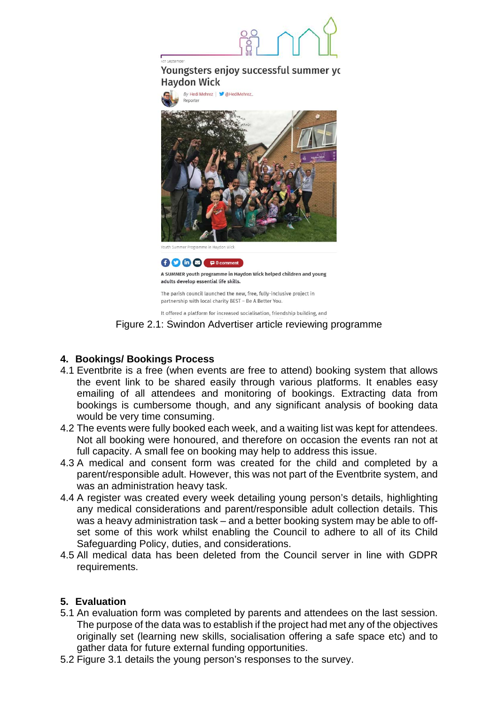

## Youngsters enjoy successful summer yc **Haydon Wick**



The parish council launched the new, free, fully-inclusive project in partnership with local charity BEST - Be A Better You.

It offered a platform for increased socialisation, friendship building, and

Figure 2.1: Swindon Advertiser article reviewing programme

# **4. Bookings/ Bookings Process**

- 4.1 Eventbrite is a free (when events are free to attend) booking system that allows the event link to be shared easily through various platforms. It enables easy emailing of all attendees and monitoring of bookings. Extracting data from bookings is cumbersome though, and any significant analysis of booking data would be very time consuming.
- 4.2 The events were fully booked each week, and a waiting list was kept for attendees. Not all booking were honoured, and therefore on occasion the events ran not at full capacity. A small fee on booking may help to address this issue.
- 4.3 A medical and consent form was created for the child and completed by a parent/responsible adult. However, this was not part of the Eventbrite system, and was an administration heavy task.
- 4.4 A register was created every week detailing young person's details, highlighting any medical considerations and parent/responsible adult collection details. This was a heavy administration task – and a better booking system may be able to offset some of this work whilst enabling the Council to adhere to all of its Child Safeguarding Policy, duties, and considerations.
- 4.5 All medical data has been deleted from the Council server in line with GDPR requirements.

# **5. Evaluation**

- 5.1 An evaluation form was completed by parents and attendees on the last session. The purpose of the data was to establish if the project had met any of the objectives originally set (learning new skills, socialisation offering a safe space etc) and to gather data for future external funding opportunities.
- 5.2 Figure 3.1 details the young person's responses to the survey.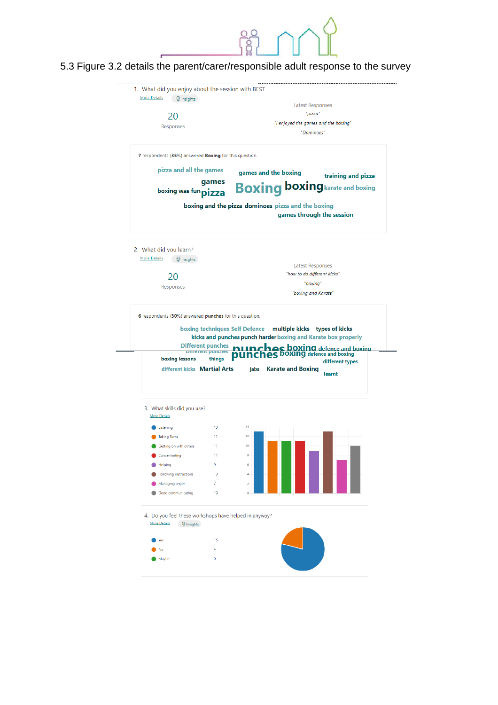## 5.3 Figure 3.2 details the parent/carer/responsible adult response to the survey

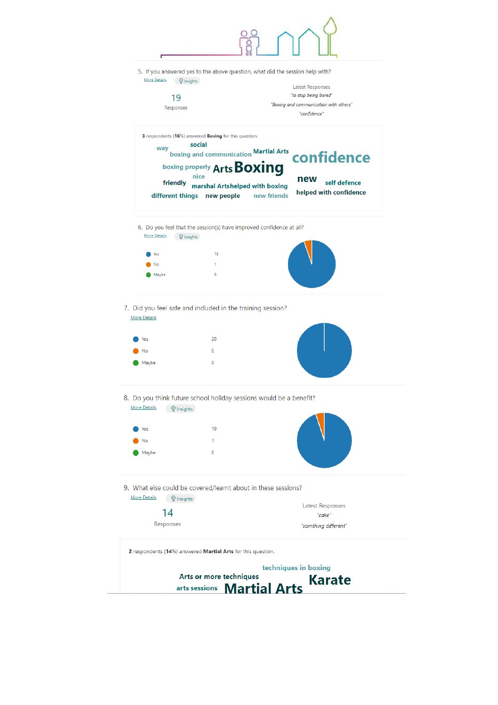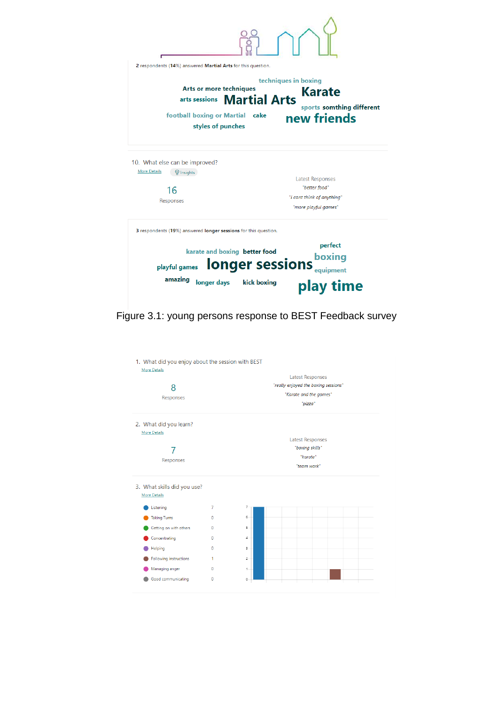| 2 respondents (14%) answered Martial Arts for this question.                                                         |                                                                                   |  |  |  |  |
|----------------------------------------------------------------------------------------------------------------------|-----------------------------------------------------------------------------------|--|--|--|--|
| Arts or more techniques<br>arts sessions <b>Martial Arts</b><br>football boxing or Martial cake<br>styles of punches | techniques in boxing<br><b>Karate</b><br>sports somthing different<br>new friends |  |  |  |  |
| 10. What else can be improved?                                                                                       |                                                                                   |  |  |  |  |
| <b>More Details</b><br><b>P</b> Insights                                                                             | <b>Latest Responses</b><br>"better food"                                          |  |  |  |  |
| 16<br>Responses                                                                                                      | "i cant think of anything"<br>"more playful games"                                |  |  |  |  |
| 3 respondents (19%) answered longer sessions for this question.                                                      |                                                                                   |  |  |  |  |
| karate and boxing better food<br>playful games                                                                       | perfect<br>boxing<br><b>longer sessions</b><br>equipment                          |  |  |  |  |
|                                                                                                                      |                                                                                   |  |  |  |  |

Figure 3.1: young persons response to BEST Feedback survey

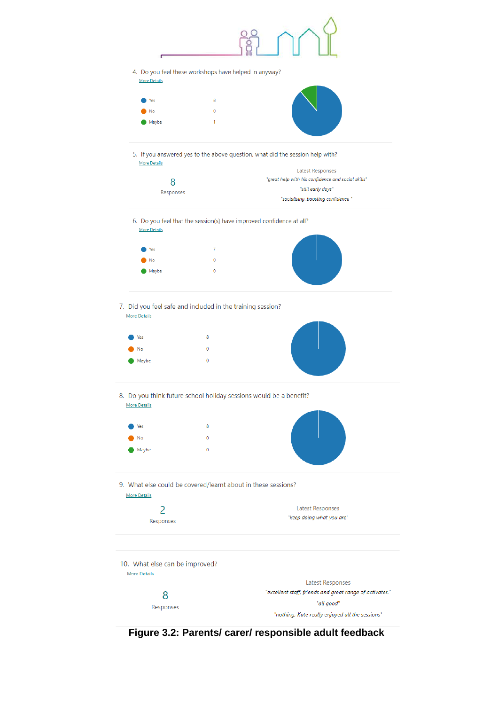

**Figure 3.2: Parents/ carer/ responsible adult feedback**